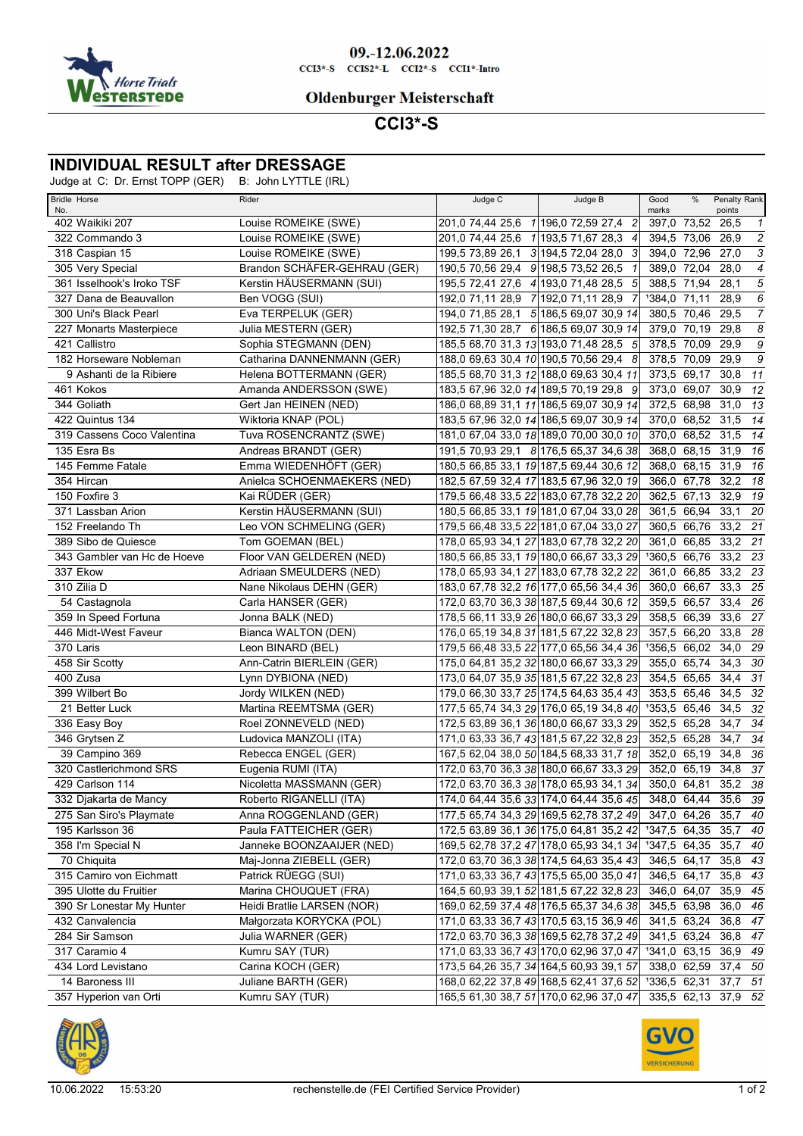

#### 09.-12.06.2022  $CCI3*-S$   $CCI52*-L$   $CCI2*-S$   $CCI1*-Intro$

### **Oldenburger Meisterschaft**

# **CCI3\*-S**

## **INDIVIDUAL RESULT after DRESSAGE**

Judge at C: Dr. Ernst TOPP (GER) B: John LYTTLE (IRL)

| <b>Bridle Horse</b><br>No.  | Rider                        | Judge C                             | Judge B                                 | Good<br>marks     | %           | Penalty Rank<br>points |                                                           |
|-----------------------------|------------------------------|-------------------------------------|-----------------------------------------|-------------------|-------------|------------------------|-----------------------------------------------------------|
| 402 Waikiki 207             | Louise ROMEIKE (SWE)         |                                     | 201,0 74,44 25,6 1 196,0 72,59 27,4 2   | 397,0 73,52 26,5  |             |                        | $\overline{1}$                                            |
| 322 Commando 3              | Louise ROMEIKE (SWE)         |                                     | 201,0 74,44 25,6 1 193,5 71,67 28,3 4   | 394,5 73,06       |             | 26,9                   | $\sqrt{2}$                                                |
| 318 Caspian 15              | Louise ROMEIKE (SWE)         | 199,5 73,89 26,1 3 194,5 72,04 28,0 | 3                                       | 394,0 72,96       |             | 27,0                   | 3                                                         |
| 305 Very Special            | Brandon SCHÄFER-GEHRAU (GER) | 190,5 70,56 29,4 9 198,5 73,52 26,5 |                                         | 389,0 72,04       |             | 28,0                   | $\overline{4}$                                            |
| 361 Isselhook's Iroko TSF   | Kerstin HÄUSERMANN (SUI)     |                                     | 195,5 72,41 27,6 4 193,0 71,48 28,5 5   | 388,5 71,94       |             | 28,1                   | $\overline{\mathbf{5}}$                                   |
| 327 Dana de Beauvallon      | Ben VOGG (SUI)               | 192,0 71,11 28,9 7 192,0 71,11 28,9 |                                         | 1384,0 71,11      |             | 28,9                   | 6                                                         |
| 300 Uni's Black Pearl       | Eva TERPELUK (GER)           |                                     | 194,0 71,85 28,1 5 186,5 69,07 30,9 14  | 380,5 70,46       |             | 29,5                   | $\overline{7}$                                            |
| 227 Monarts Masterpiece     | Julia MESTERN (GER)          |                                     | 192,5 71,30 28,7 6 186,5 69,07 30,9 14  | 379,0 70,19       |             | 29,8                   | 8                                                         |
| 421 Callistro               | Sophia STEGMANN (DEN)        |                                     | 185,5 68,70 31,3 13 193,0 71,48 28,5 5  | 378,5 70,09       |             | 29,9                   | $\overline{g}$                                            |
| 182 Horseware Nobleman      | Catharina DANNENMANN (GER)   |                                     | 188,0 69,63 30,4 10 190,5 70,56 29,4 8  | 378,5 70,09       |             | 29,9                   | $\mathcal{G}% _{M_{1},M_{2}}^{\alpha,\beta}(\varepsilon)$ |
| 9 Ashanti de la Ribiere     | Helena BOTTERMANN (GER)      |                                     | 185,5 68,70 31,3 12 188,0 69,63 30,4 11 | 373,5 69,17       |             | 30,8                   | 11                                                        |
| 461 Kokos                   | Amanda ANDERSSON (SWE)       |                                     | 183,5 67,96 32,0 14 189,5 70,19 29,8 9  | 373,0 69,07       |             | 30,9                   | 12                                                        |
| 344 Goliath                 | Gert Jan HEINEN (NED)        |                                     | 186,0 68,89 31,1 11 186,5 69,07 30,9 14 | 372,5 68,98       |             | $31,0$ 13              |                                                           |
| 422 Quintus 134             | Wiktoria KNAP (POL)          |                                     | 183,5 67,96 32,0 14 186,5 69,07 30,9 14 | 370,0 68,52       |             | 31,5                   | 14                                                        |
| 319 Cassens Coco Valentina  | Tuva ROSENCRANTZ (SWE)       |                                     | 181,0 67,04 33,0 18 189,0 70,00 30,0 10 | 370,0 68,52       |             | 31,5                   | 14                                                        |
| 135 Esra Bs                 | Andreas BRANDT (GER)         |                                     | 191,5 70,93 29,1 8 176,5 65,37 34,6 38  | 368,0 68,15       |             | 31,9                   | 16                                                        |
| 145 Femme Fatale            | Emma WIEDENHÖFT (GER)        |                                     | 180,5 66,85 33,1 19 187,5 69,44 30,6 12 | 368,0 68,15       |             | 31,9 16                |                                                           |
| 354 Hircan                  | Anielca SCHOENMAEKERS (NED)  |                                     | 182,5 67,59 32,4 17 183,5 67,96 32,0 19 | 366,0 67,78       |             | 32,2                   | 18                                                        |
| 150 Foxfire 3               | Kai RUDER (GER)              |                                     | 179,5 66,48 33,5 22 183,0 67,78 32,2 20 | 362,5 67,13       |             | 32,9                   | 19                                                        |
| 371 Lassban Arion           | Kerstin HÄUSERMANN (SUI)     |                                     | 180.5 66.85 33.1 19 181.0 67.04 33.0 28 | 361.5 66.94       |             | 33,1 20                |                                                           |
| 152 Freelando Th            | Leo VON SCHMELING (GER)      |                                     | 179,5 66,48 33,5 22 181,0 67,04 33,0 27 | 360,5 66,76       |             | 33,2 21                |                                                           |
| 389 Sibo de Quiesce         | Tom GOEMAN (BEL)             |                                     | 178,0 65,93 34,1 27 183,0 67,78 32,2 20 | 361,0 66,85       |             | 33,2 21                |                                                           |
| 343 Gambler van Hc de Hoeve | Floor VAN GELDEREN (NED)     |                                     | 180,5 66,85 33,1 19 180,0 66,67 33,3 29 | 1360,5 66,76      |             | 33,2 23                |                                                           |
| 337 Ekow                    | Adriaan SMEULDERS (NED)      |                                     | 178,0 65,93 34,1 27 183,0 67,78 32,2 22 | 361,0 66,85       |             | 33,2                   | - 23                                                      |
| 310 Zilia D                 | Nane Nikolaus DEHN (GER)     |                                     | 183,0 67,78 32,2 16 177,0 65,56 34,4 36 | 360,0 66,67       |             | $33,3$ 25              |                                                           |
| 54 Castagnola               | Carla HANSER (GER)           |                                     | 172,0 63,70 36,3 38 187,5 69,44 30,6 12 | 359,5 66,57       |             | 33,4                   | 26                                                        |
| 359 In Speed Fortuna        | Jonna BALK (NED)             |                                     | 178,5 66,11 33,9 26 180,0 66,67 33,3 29 |                   | 358,5 66,39 | 33,6                   | 27                                                        |
| 446 Midt-West Faveur        | Bianca WALTON (DEN)          |                                     | 176,0 65,19 34,8 31 181,5 67,22 32,8 23 | 357,5 66,20       |             | 33,8                   | - 28                                                      |
| 370 Laris                   | Leon BINARD (BEL)            |                                     | 179,5 66,48 33,5 22 177,0 65,56 34,4 36 | 1356,5 66,02      |             | 34,0 29                |                                                           |
| 458 Sir Scotty              | Ann-Catrin BIERLEIN (GER)    |                                     | 175,0 64,81 35,2 32 180,0 66,67 33,3 29 | 355,0 65,74       |             | 34,3                   | - 30                                                      |
| 400 Zusa                    | Lynn DYBIONA (NED)           |                                     | 173,0 64,07 35,9 35 181,5 67,22 32,8 23 | 354,5 65,65       |             | 34,4                   | 31                                                        |
| 399 Wilbert Bo              | Jordy WILKEN (NED)           |                                     | 179,0 66,30 33,7 25 174,5 64,63 35,4 43 | 353,5 65,46       |             | 34,5                   | - 32                                                      |
|                             |                              |                                     |                                         |                   |             |                        |                                                           |
| 21 Better Luck              | Martina REEMTSMA (GER)       |                                     | 177,5 65,74 34,3 29 176,0 65,19 34,8 40 | 1353,5 65,46      |             | 34,5                   | 32                                                        |
| 336 Easy Boy                | Roel ZONNEVELD (NED)         |                                     | 172,5 63,89 36,1 36 180,0 66,67 33,3 29 | 352,5 65,28       |             | 34,7                   | 34                                                        |
| 346 Grytsen Z               | Ludovica MANZOLI (ITA)       |                                     | 171,0 63,33 36,7 43 181,5 67,22 32,8 23 | 352,5 65,28       |             | 34,7                   | 34                                                        |
| 39 Campino 369              | Rebecca ENGEL (GER)          |                                     | 167,5 62,04 38,0 50 184,5 68,33 31,7 18 | 352,0 65,19       |             | 34,8                   | - 36                                                      |
| 320 Castlerichmond SRS      | Eugenia RUMI (ITA)           |                                     | 172,0 63,70 36,3 38 180,0 66,67 33,3 29 | 352,0 65,19       |             | 34,8 37                |                                                           |
| 429 Carlson 114             | Nicoletta MASSMANN (GER)     |                                     | 172,0 63,70 36,3 38 178,0 65,93 34,1 34 | 350,0 64,81       |             | 35,2 38                |                                                           |
| 332 Djakarta de Mancy       | Roberto RIGANELLI (ITA)      |                                     | 174,0 64,44 35,6 33 174,0 64,44 35,6 45 |                   |             | 348,0 64,44 35,6 39    |                                                           |
| 275 San Siro's Playmate     | Anna ROGGENLAND (GER)        |                                     | 177,5 65,74 34,3 29 169,5 62,78 37,2 49 |                   |             | 347,0 64,26 35,7 40    |                                                           |
| 195 Karlsson 36             | Paula FATTEICHER (GER)       |                                     | 172,5 63,89 36,1 36 175,0 64,81 35,2 42 | 1347,5 64,35      |             | 35,7                   | 40                                                        |
| 358 I'm Special N           | Janneke BOONZAAIJER (NED)    |                                     | 169,5 62,78 37,2 47 178,0 65,93 34,1 34 | 1347,5 64,35 35,7 |             |                        | 40                                                        |
| 70 Chiquita                 | Maj-Jonna ZIEBELL (GER)      |                                     | 172,0 63,70 36,3 38 174,5 64,63 35,4 43 | 346,5 64,17       |             | 35,8 43                |                                                           |
| 315 Camiro von Eichmatt     | Patrick RÜEGG (SUI)          |                                     | 171,0 63,33 36,7 43 175,5 65,00 35,0 41 | 346,5 64,17       |             | 35,8 43                |                                                           |
| 395 Ulotte du Fruitier      | Marina CHOUQUET (FRA)        |                                     | 164,5 60,93 39,1 52 181,5 67,22 32,8 23 | 346,0 64,07       |             | 35,9 45                |                                                           |
| 390 Sr Lonestar My Hunter   | Heidi Bratlie LARSEN (NOR)   |                                     | 169,0 62,59 37,4 48 176,5 65,37 34,6 38 | 345,5 63,98       |             | 36,0 46                |                                                           |
| 432 Canvalencia             | Małgorzata KORYCKA (POL)     |                                     | 171,0 63,33 36,7 43 170,5 63,15 36,9 46 | 341,5 63,24       |             | 36,8 47                |                                                           |
| 284 Sir Samson              | Julia WARNER (GER)           |                                     | 172,0 63,70 36,3 38 169,5 62,78 37,2 49 | 341,5 63,24       |             | 36,8 47                |                                                           |
| 317 Caramio 4               | Kumru SAY (TUR)              |                                     | 171,0 63,33 36,7 43 170,0 62,96 37,0 47 | 1341,0 63,15      |             | 36,9 49                |                                                           |
| 434 Lord Levistano          | Carina KOCH (GER)            |                                     | 173,5 64,26 35,7 34 164,5 60,93 39,1 57 |                   |             | 338,0 62,59 37,4 50    |                                                           |
| 14 Baroness III             | Juliane BARTH (GER)          |                                     | 168,0 62,22 37,8 49 168,5 62,41 37,6 52 | 1336,5 62,31      |             | 37,7 51                |                                                           |
| 357 Hyperion van Orti       | Kumru SAY (TUR)              |                                     | 165,5 61,30 38,7 51 170,0 62,96 37,0 47 |                   |             | 335,5 62,13 37,9 52    |                                                           |